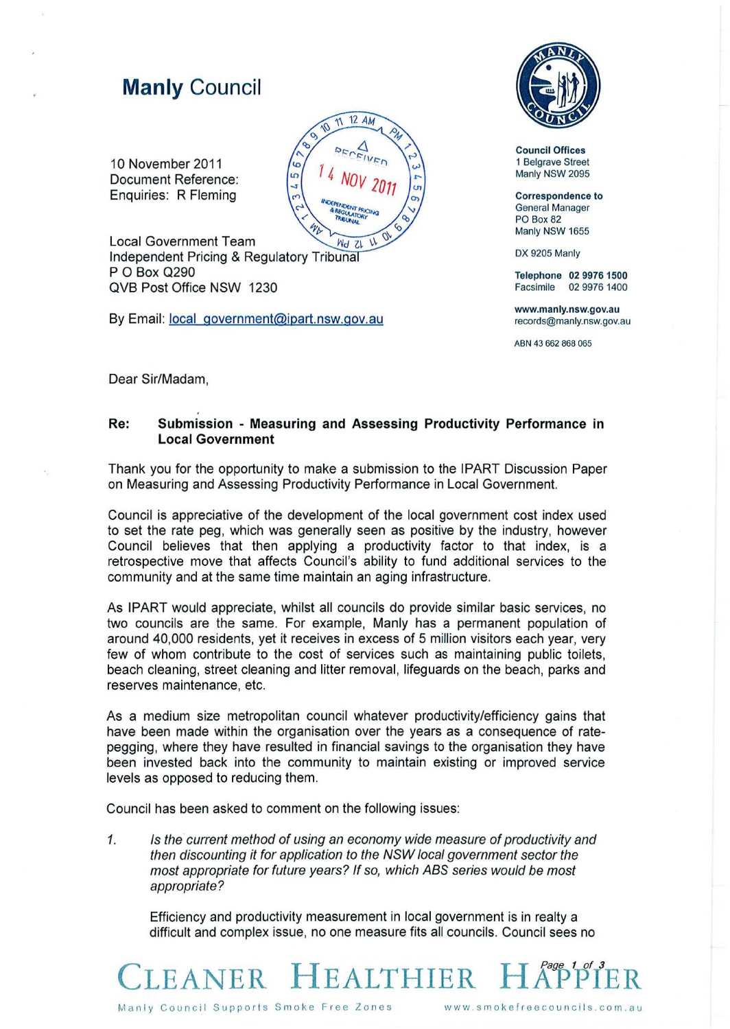## **Manly Council**

10 November 2011 Document Reference: Enquiries: R Fleming



**Local Government Team** Independent Pricing & Regulatory Tribuna P O Box Q290 QVB Post Office NSW 1230

By Email: local government@ipart.nsw.gov.au



**Council Offices 1 Belgrave Street**  Manly NSW 2095

**Correspondence to General Manager**  PO Box 82 Manly NSW 1655

DX 9205 Manly

Telephone 02 9976 1500 **Facsimile 029976 1400** 

**www.manly.nsw.gov.au records@manly.nsw.gov.au** 

**ABN 43 662 868 065** 

Dear Sir/Madam,

## **Re: Submission - Measuring** and **Assessing Productivity Performance in Local Government**

Thank you for the opportunity to make a submission to the IPART Discussion Paper on Measuring and Assessing Productivity Performance in Local Government.

Council is appreciative of the development of the local government cost index used to set the rate peg, which was generally seen as positive by the industry, however Council believes that then applying a productivity factor to that index, is a retrospective move that affects Council's ability to fund additional services to the community and at the same time maintain an aging infrastructure.

As IPART would appreciate, whilst all councils do provide similar basic services, no two councils are the same. For example, Manly has a permanent population of around 40,000 residents, yet it receives in excess of 5 million visitors each year, very few of whom contribute to the cost of services such as maintaining public toilets, beach cleaning, street cleaning and litter removal, lifeguards on the beach, parks and reserves maintenance, etc.

As a medium size metropolitan council whatever productivity/efficiency gains that have been made within the organisation over the years as a consequence of ratepegging, where they have resulted in financial savings to the organisation they have been invested back into the community to maintain existing or improved service levels as opposed to reducing them.

Council has been asked to comment on the following issues:

1. Is the current method of using an economy wide measure of productivity and then discounting it for application to the NSW local government sector the most appropriate for future years? If so, which ABS series would be most appropriate?

Efficiency and productivity measurement in local government is in realty a difficult and complex issue, no one measure fits all councils. Council sees no

LEANER **HEALTHIER** 

**Manly Council Supports Smoke Free Zones www.smokefreecouncils.com.au**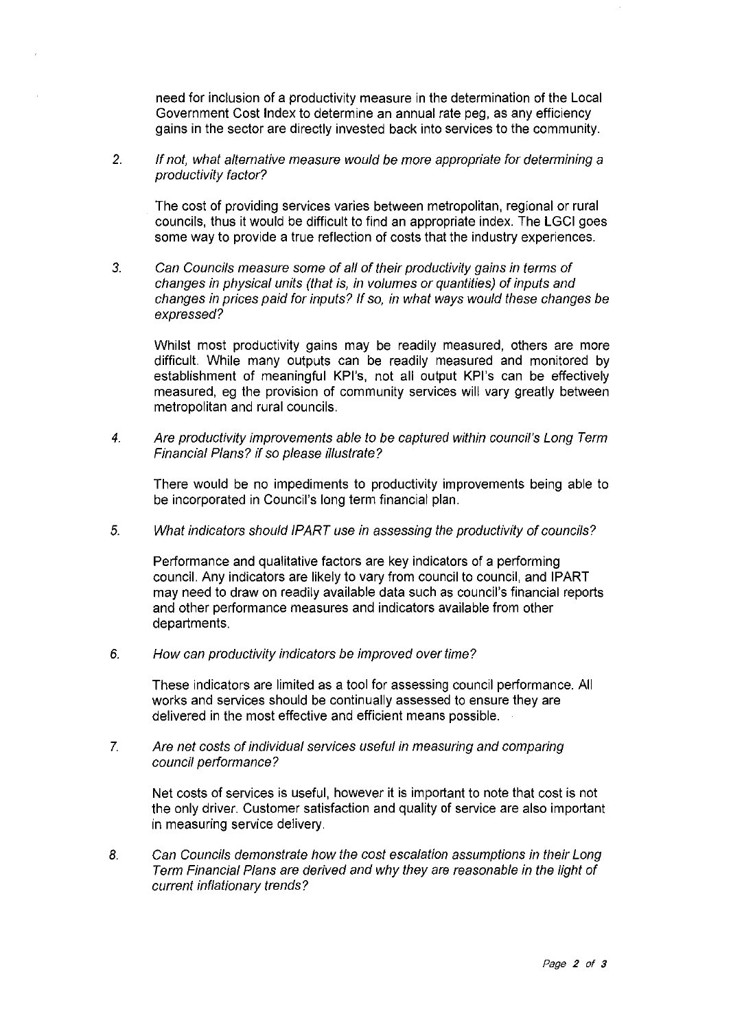need for inclusion of a productivity measure in the determination of the Local Government Cost Index to determine an annual rate peg, as any efficiency gains in the sector are directly invested back into services to the community.

2. If not, what alternative measure would be more appropriate for determining a productivity factor?

The cost of providing services varies between metropolitan, regional or rural councils, thus it would be difficult to find an appropriate index. The LGCI goes some way to provide a true reflection of costs that the industry experiences.

3. Can Councils measure some of all of their productivity gains in terms of changes in physical units (that is, in volumes or quantities) of inputs and changes in prices paid for inputs? If so, in what ways would these changes be expressed?

Whilst most productivity gains may be readily measured, others are more difficult. While many outputs can be readily measured and monitored by establishment of meaningful KPI's, not all output KPI's can be effectively measured, eg the provision of community services will vary greatly between metropolitan and rural councils.

4. Are productivity improvements able to be captured within council's Long Term Financial Plans? if so please Illustrate?

There would be no impediments to productivity improvements being able to be incorporated in Council's long term financial plan.

5. What indicators should IPART use in assessing the productivity of councils?

Performance and qualitative factors are key indicators of a performing council. Any indicators are likely to vary from council to council, and IPART may need to draw on readily available data such as council's financial reports and other performance measures and indicators available from other departments.

6. How can productivity indicators be improved over time?

These indicators are limited as a tool for assessing council performance. All works and services should be continually assessed to ensure they are delivered in the most effective and efficient means possible.

7. Are net costs of individual services useful in measuring and comparing council performance?

Net costs of services is useful, however it is important to note that cost is not the only driver. Customer satisfaction and quality of service are also important in measuring service delivery.

8. Can Councils demonstrate how the cost escalation assumptions in their Long Term Financial Plans are derived and why they are reasonable in the light of current inflationary trends?